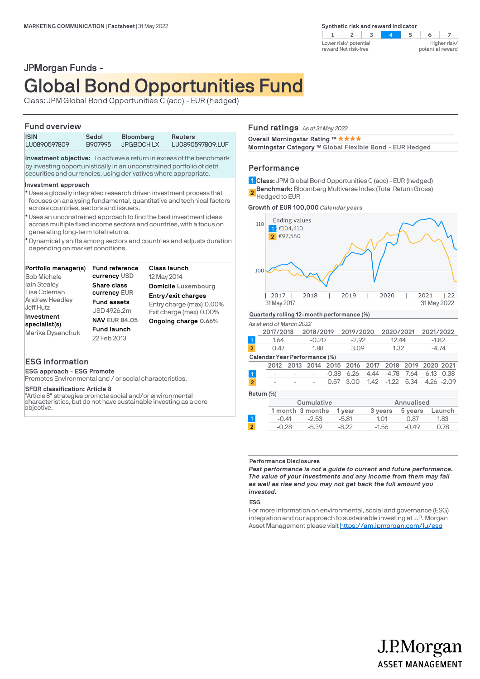

# JPMorgan Funds - Global Bond Opportunities Fund

Class: JPM Global Bond Opportunities C (acc) - EUR (hedged)

## **Fund overview**

| <b>ISIN</b><br>LU0890597809                                                                                                                                                                                                                                                                  | Sedol<br>B907995 | Bloomberg<br><b>JPGBOCHLX</b> | Reuters<br>LU0890597809.LUF                                                                                                                  |  |
|----------------------------------------------------------------------------------------------------------------------------------------------------------------------------------------------------------------------------------------------------------------------------------------------|------------------|-------------------------------|----------------------------------------------------------------------------------------------------------------------------------------------|--|
| <b>Investment objective:</b> To achieve a return in excess of the benchmark<br>by investing opportunistically in an unconstrained portfolio of debt<br>securities and currencies, using derivatives where appropriate.                                                                       |                  |                               |                                                                                                                                              |  |
| Investment approach<br>across countries, sectors and issuers.                                                                                                                                                                                                                                |                  |                               | * Uses a globally integrated research driven investment process that<br>focuses on analysing fundamental, quantitative and technical factors |  |
| * Uses an unconstrained approach to find the best investment ideas<br>across multiple fixed income sectors and countries, with a focus on<br>generating long-term total returns.<br>• Dynamically shifts among sectors and countries and adjusts duration<br>depending on market conditions. |                  |                               |                                                                                                                                              |  |

| Portfolio manager(s)        | <b>Fund reference</b> | Class launch             |
|-----------------------------|-----------------------|--------------------------|
| <b>Bob Michele</b>          | currency USD          | 12 May 2014              |
| lain Stealey                | Share class           | Domicile Luxembourg      |
| Lisa Coleman                | currency EUR          | Entry/exit charges       |
| <b>Andrew Headley</b>       | <b>Fund assets</b>    | Entry charge (max) 0.00% |
| Jeff Hutz                   | USD 4926.2m           | Exit charge (max) 0.00%  |
| Investment<br>specialist(s) | <b>NAV EUR 84.05</b>  | Ongoing charge 0.66%     |
|                             | <b>Fund launch</b>    |                          |
| Marika Dysenchuk            | 22 Feb 2013           |                          |
|                             |                       |                          |

## **ESG information**

**ESG approach - ESG Promote**

Promotes Environmental and / or social characteristics.

#### **SFDR classification: Article 8**

"Article 8" strategies promote social and/or environmental characteristics, but do not have sustainable investing as a core objective.

#### **Fund ratings** *As at 31 May 2022*

**Overall Morningstar Rating ™ ★ ★ ★ ★** 

**Morningstar Category TM Global Flexible Bond - EUR Hedged**

#### **Performance**

**Class:** JPM Global Bond Opportunities C (acc) - EUR (hedged) **1 Benchmark:** Bloomberg Multiverse Index (Total Return Gross) **2** Hedged to EUR

**Growth of EUR 100,000** *Calendar years*



## **Return (%)**

|                  | Cumulative |         |         | Annualised |        |
|------------------|------------|---------|---------|------------|--------|
| 1 month 3 months |            | 1 vear  | 3 years | 5 years    | Launch |
| $-0.41$          | $-2.53$    | $-5.81$ | 1.01    | 0.87       | 1.83   |
| $-0.28$          | $-5.39$    | -8 22   | $-1.56$ | $-0.49$    | O 78   |

#### **Performance Disclosures**

*Past performance is not a guide to current and future performance. The value of your investments and any income from them may fall as well as rise and you may not get back the full amount you invested.* 

**ESG**

For more information on environmental, social and governance (ESG) integration and our approach to sustainable investing at J.P. Morgan Asset Management please visit https://am.jpmorgan.com/lu/esg

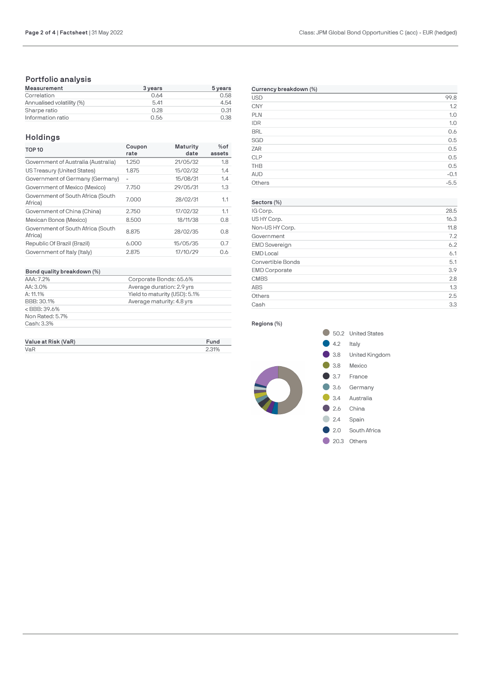# **Portfolio analysis**

| Measurement               | 3 years | 5 years |
|---------------------------|---------|---------|
| Correlation               | 0.64    | 0.58    |
| Annualised volatility (%) | 5.41    | 4.54    |
| Sharpe ratio              | 0.28    | 0.31    |
| Information ratio         | 0.56    | 0.38    |

# **Holdings**

| Coupon<br>rate | <b>Maturity</b><br>date | $%$ of<br>assets |
|----------------|-------------------------|------------------|
| 1.250          | 21/05/32                | 1.8              |
| 1.875          | 15/02/32                | 1.4              |
| $\overline{a}$ | 15/08/31                | 1.4              |
| 7.750          | 29/05/31                | 1.3              |
| 7.000          | 28/02/31                | 1.1              |
| 2.750          | 17/02/32                | 1.1              |
| 8.500          | 18/11/38                | 0.8              |
| 8.875          | 28/02/35                | 0.8              |
| 6.000          | 15/05/35                | 0.7              |
| 2.875          | 17/10/29                | 0.6              |
|                |                         |                  |

#### **Bond quality breakdown (%)**

| Bond quality breakdown (%) |                               |
|----------------------------|-------------------------------|
| AAA: 7.2%                  | Corporate Bonds: 65.6%        |
| AA:3.0%                    | Average duration: 2.9 yrs     |
| A: 11.1%                   | Yield to maturity (USD): 5.1% |
| BBB: 30.1%                 | Average maturity: 4.8 yrs     |
| $<$ BBB: 39.6%             |                               |
| Non Rated: 5.7%            |                               |
| Cash: 3.3%                 |                               |

| Value at Risk (VaR) | Fund  |
|---------------------|-------|
| VaR                 | 2.31% |

| Currency breakdown (%) |        |  |
|------------------------|--------|--|
| <b>USD</b>             | 99.8   |  |
| <b>CNY</b>             | 1.2    |  |
| <b>PLN</b>             | 1.0    |  |
| <b>IDR</b>             | 1.0    |  |
| <b>BRL</b>             | 0.6    |  |
| SGD                    | 0.5    |  |
| <b>ZAR</b>             | 0.5    |  |
| <b>CLP</b>             | 0.5    |  |
| <b>THB</b>             | 0.5    |  |
| <b>AUD</b>             | $-0.1$ |  |
| Others                 | $-5.5$ |  |

## **Sectors (%)** IG Corp. 28.5 US HY Corp. 16.3 Non-US HY Corp. 11.8 Government 7.2 EMD Sovereign 6.2 EMD Local 6.1 Convertible Bonds 5.1 EMD Corporate 3.9 CMBS 2.8 ABS 2.1.3 Others 2.5 Cash 3.3

#### **Regions (%)**

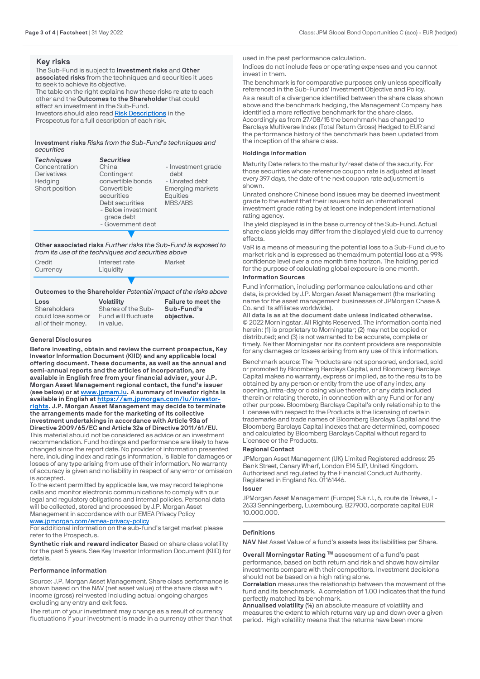#### **Key risks**

The Sub-Fund is subject to **Investment risks** and **Other associated risks** from the techniques and securities it uses to seek to achieve its objective. The table on the right explains how these risks relate to each other and the **Outcomes to the Shareholder** that could affect an investment in the Sub-Fund. Investors should also read [Risk Descriptions](http://www.jpmorganassetmanagement.lu/) in the

Prospectus for a full description of each risk.

#### **Investment risks** *Risks from the Sub-Fund's techniques and securities*

| <b>Techniques</b><br>Concentration<br>Derivatives<br>Hedging<br>Short position | <b>Securities</b><br>China<br>Contingent<br>convertible bonds<br>Convertible<br>securities<br>Debt securities<br>- Below investment<br>grade debt<br>- Government debt | - Investment grade<br>debt<br>- Unrated debt<br><b>Emerging markets</b><br>Equities<br>MBS/ABS |
|--------------------------------------------------------------------------------|------------------------------------------------------------------------------------------------------------------------------------------------------------------------|------------------------------------------------------------------------------------------------|
|                                                                                |                                                                                                                                                                        |                                                                                                |

**Other associated risks** *Further risks the Sub-Fund is exposed to from its use of the techniques and securities above*

| Credit<br>Currency | Interest rate<br>Liquidity | Market |
|--------------------|----------------------------|--------|
|                    |                            |        |

#### **Outcomes to the Shareholder** *Potential impact of the risks above*

| Loss                | <b>Volatility</b>   | Failure to meet the |
|---------------------|---------------------|---------------------|
| Shareholders        | Shares of the Sub-  | Sub-Fund's          |
| could lose some or  | Fund will fluctuate | objective.          |
| all of their money. | in value.           |                     |

#### **General Disclosures**

**Before investing, obtain and review the current prospectus, Key Investor Information Document (KIID) and any applicable local offering document. These documents, as well as the annual and semi-annual reports and the articles of incorporation, are available in English free from your financial adviser, your J.P. Morgan Asset Management regional contact, the fund's issuer (see below) or at [www.jpmam.lu](https://www.jpmam.lu/). A summary of investor rights is available in English at [https://am.jpmorgan.com/lu/investor](https://am.jpmorgan.com/lu/investor-rights)[rights](https://am.jpmorgan.com/lu/investor-rights). J.P. Morgan Asset Management may decide to terminate the arrangements made for the marketing of its collective investment undertakings in accordance with Article 93a of Directive 2009/65/EC and Article 32a of Directive 2011/61/EU.**  This material should not be considered as advice or an investment recommendation. Fund holdings and performance are likely to have changed since the report date. No provider of information presented here, including index and ratings information, is liable for damages or losses of any type arising from use of their information. No warranty of accuracy is given and no liability in respect of any error or omission is accepted.

To the extent permitted by applicable law, we may record telephone calls and monitor electronic communications to comply with our legal and regulatory obligations and internal policies. Personal data will be collected, stored and processed by J.P. Morgan Asset Management in accordance with our EMEA Privacy Policy [www.jpmorgan.com/emea-privacy-policy](https://www.jpmorgan.com/emea-privacy-policy)

For additional information on the sub-fund's target market please refer to the Prospectus.

**Synthetic risk and reward indicator** Based on share class volatility for the past 5 years. See Key Investor Information Document (KIID) for details.

#### **Performance information**

Source: J.P. Morgan Asset Management. Share class performance is shown based on the NAV (net asset value) of the share class with income (gross) reinvested including actual ongoing charges excluding any entry and exit fees.

The return of your investment may change as a result of currency fluctuations if your investment is made in a currency other than that [used in the past performance calculation](https://www.jpmorgan.com/emea-privacy-policy).

Indices do not include fees or operating expenses and you cannot invest in them.

The benchmark is for comparative purposes only unless specifically referenced in the Sub-Funds' Investment Objective and Policy.

As a result of a divergence identified between the share class shown above and the benchmark hedging, the Management Company has identified a more reflective benchmark for the share class. Accordingly as from 27/08/15 the benchmark has changed to Barclays Multiverse Index (Total Return Gross) Hedged to EUR and the performance history of the benchmark has been updated from the inception of the share class.

#### **Holdings information**

Maturity Date ref[ers to](https://www.jpmam.lu/) [the maturity/reset date of the security. For](https://am.jpmorgan.com/lu/investor-rights) [those s](https://am.jpmorgan.com/lu/investor-rights)ecurities whose reference coupon rate is adjusted at least every 397 days, the date of the next coupon rate adjustment is shown.

Unrated onshore Chinese bond issues may be deemed investment grade to the extent that their issuers hold an international investment grade rating by at least one independent international rating agency.

The yield displayed is in the base currency of the Sub-Fund. Actual share class yields may differ from the displayed yield due to currency effects.

VaR is a means of measuring the potential loss to a Sub-Fund due to market risk and is expressed as themaximum potential loss at a 99% confidence level over a one month time horizon. The holding period for the purpose of calculating global exposure is one month.

#### **Information Sources**

[Fund information, including performanc](https://www.jpmorgan.com/emea-privacy-policy)e calculations and other data, is provided by J.P. Morgan Asset Management (the marketing name for the asset management businesses of JPMorgan Chase & Co. and its affiliates worldwide).

**All data is as at the document date unless indicated otherwise.** © 2022 Morningstar. All Rights Reserved. The information contained herein: (1) is proprietary to Morningstar; (2) may not be copied or distributed; and (3) is not warranted to be accurate, complete or timely. Neither Morningstar nor its content providers are responsible for any damages or losses arising from any use of this information.

Benchmark source: The Products are not sponsored, endorsed, sold or promoted by Bloomberg Barclays Capital, and Bloomberg Barclays Capital makes no warranty, express or implied, as to the results to be obtained by any person or entity from the use of any index, any opening, intra-day or closing value therefor, or any data included therein or relating thereto, in connection with any Fund or for any other purpose. Bloomberg Barclays Capital's only relationship to the Licensee with respect to the Products is the licensing of certain trademarks and trade names of Bloomberg Barclays Capital and the Bloomberg Barclays Capital indexes that are determined, composed and calculated by Bloomberg Barclays Capital without regard to Licensee or the Products.

#### **Regional Contact**

JPMorgan Asset Management (UK) Limited Registered address: 25 Bank Street, Canary Wharf, London E14 5JP, United Kingdom. Authorised and regulated by the Financial Conduct Authority. Registered in England No. 01161446.

#### **Issuer**

JPMorgan Asset Management (Europe) S.à r.l., 6, route de Trèves, L-2633 Senningerberg, Luxembourg. B27900, corporate capital EUR 10.000.000

#### **Definitions**

**NAV** Net Asset Value of a fund's assets less its liabilities per Share.

**Overall Morningstar Rating ™** assessment of a fund's past performance, based on both return and risk and shows how similar investments compare with their competitors. Investment decisions should not be based on a high rating alone.

**Correlation** measures the relationship between the movement of the fund and its benchmark. A correlation of 1.00 indicates that the fund perfectly matched its benchmark.

**Annualised volatility (%)** an absolute measure of volatility and measures the extent to which returns vary up and down over a given period. High volatility means that the returns have been more